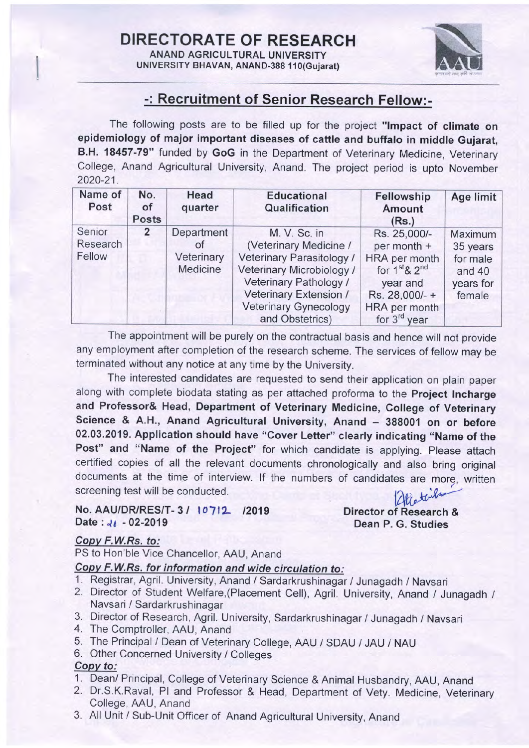DIRECTORATE OF RESEARCH ANAND AGRICULTURAL UNIVERSITY

UNIVERSITY BHAVAN, ANAND-388 110(Gujarat)



## -: Recruitment of Senior Research Fellow:-

The following posts are to be filled up for the project "Impact of climate on epidemiology of major important diseases of cattle and buffalo in middle Gujarat, B.H. 18457-79" funded by GoG in the Department of Veterinary Medicine, Veterinary College, Anand Agricultural University, Anand. The project period is upto November 2020-21.

| Name of<br>Post              | No.<br>οf<br><b>Posts</b> | Head<br>quarter                            | <b>Educational</b><br>Qualification                                                                                                                                                                     | Fellowship<br><b>Amount</b><br>(Rs.)                                                                                               | Age limit                                                        |
|------------------------------|---------------------------|--------------------------------------------|---------------------------------------------------------------------------------------------------------------------------------------------------------------------------------------------------------|------------------------------------------------------------------------------------------------------------------------------------|------------------------------------------------------------------|
| Senior<br>Research<br>Fellow | $\overline{2}$            | Department<br>οf<br>Veterinary<br>Medicine | M. V. Sc. in<br>(Veterinary Medicine /<br>Veterinary Parasitology /<br>Veterinary Microbiology /<br>Veterinary Pathology /<br>Veterinary Extension /<br><b>Veterinary Gynecology</b><br>and Obstetrics) | Rs. 25,000/-<br>per month +<br>HRA per month<br>for $1st$ & $2nd$<br>year and<br>Rs. 28,000/- +<br>HRA per month<br>for $3rd$ year | Maximum<br>35 years<br>for male<br>and 40<br>years for<br>female |

The appointment will be purely on the contractual basis and hence will not provide any employment after completion of the research scheme. The services of fellow may be terminated without any notice at any time by the University.

The interested candidates are requested to send their application on plain paper along with complete biodata stating as per attached proforma to the Project Incharge and Professor& Head, Department of Veterinary Medicine, College of Veterinary Science & A.H., Anand Agricultural University, Anand - 388001 on or before 02.03.2019. Application should have "Cover Letter" clearly indicating "Name of the Post" and "Name of the Project" for which candidate is applying. Please attach certified copies of all the relevant documents chronologically and also bring original documents at the time of interview. If the numbers of candidates are more, written screening test will be conducted.

No. AAU/DR/RES/T-3/ 10712 /2019 Date:  $46 - 02 - 2019$ 

Director of Research & Dean P. G. Studies

### Copv F.W.Rs. to:

PS to Hon'ble Vice Chancellor, AAU, Anand

- Copy F.W.Rs. for information and wide circulation to:<br>1. Registrar, Agril. University, Anand / Sardarkrushinagar / Junagadh / Navsari
- 2. Director of Student Welfare, (Placement Cell), Agril. University, Anand / Junagadh / Navsari / Sardarkrushinagar
- 3. Director of Research, Agril. University, Sardarkrushinagar / Junagadh / Navsari 4. The Comptroller, AAU, Anand
- 
- 5. The Principal / Dean of veterinary college, AAU / SDAU / JAU / NAU
- 6. Other Concerned University / Colleges

## Copv to:

- 
- 1. Dean/ Principal, College of Veterinary Science & Animal Husbandry, AAU, Anand 2. Dr.S.K.Raval, Pl and Professor & Head, Department of Vety. Medicine, Veterinary College, AAU, Anand
- 3. All Unit / sub-Unit officer of Anand Agricultural University, Anand